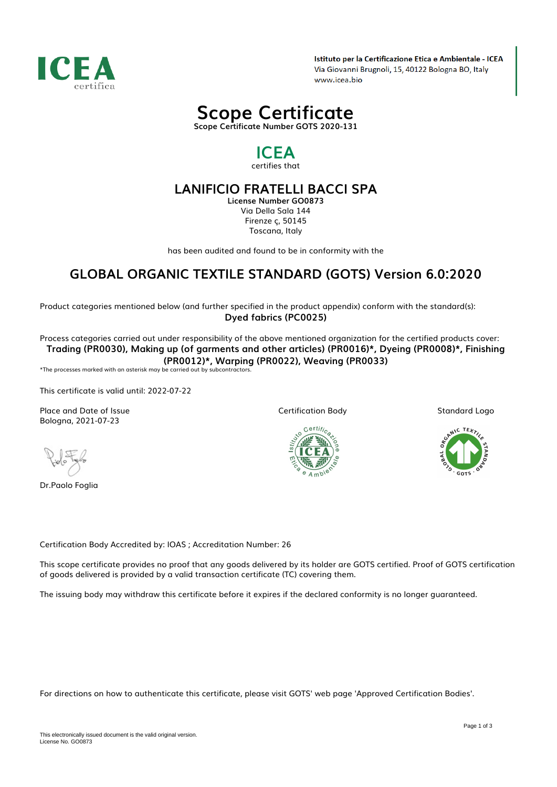

Istituto per la Certificazione Etica e Ambientale - ICEA Via Giovanni Brugnoli, 15, 40122 Bologna BO, Italy www.icea.bio



## *ICEA certifies that*

## *LANIFICIO FRATELLI BACCI SPA*

*License Number GO0873 Via Della Sala 144 Firenze ç, 50145 Toscana, Italy*

*has been audited and found to be in conformity with the*

# *GLOBAL ORGANIC TEXTILE STANDARD (GOTS) Version 6.0:2020*

*Product categories mentioned below (and further specified in the product appendix) conform with the standard(s): Dyed fabrics (PC0025)*

*Process categories carried out under responsibility of the above mentioned organization for the certified products cover: Trading (PR0030), Making up (of garments and other articles) (PR0016)\*, Dyeing (PR0008)\*, Finishing (PR0012)\*, Warping (PR0022), Weaving (PR0033)*

*\*The processes marked with an asterisk may be carried out by subcontractors.*

*This certificate is valid until: 2022-07-22*

*Place and Date of Issue Bologna, 2021-07-23*

*Dr.Paolo Foglia*

*Certification Body*



*Standard Logo*



*Certification Body Accredited by: IOAS ; Accreditation Number: 26*

*This scope certificate provides no proof that any goods delivered by its holder are GOTS certified. Proof of GOTS certification of goods delivered is provided by a valid transaction certificate (TC) covering them.*

*The issuing body may withdraw this certificate before it expires if the declared conformity is no longer guaranteed.*

*For directions on how to authenticate this certificate, please visit GOTS' web page 'Approved Certification Bodies'.*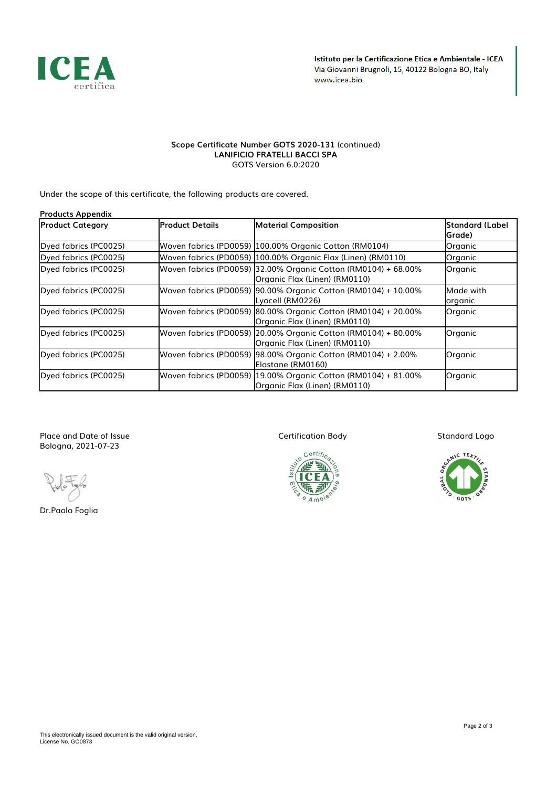

#### *Scope Certificate Number GOTS 2020-131 (continued) LANIFICIO FRATELLI BACCI SPA GOTS Version 6.0:2020*

*Under the scope of this certificate, the following products are covered.*

| <b>Products Appendix</b> |                        |                                                                                                 |                            |  |  |  |
|--------------------------|------------------------|-------------------------------------------------------------------------------------------------|----------------------------|--|--|--|
| <b>Product Category</b>  | lProduct Details       | <b>Material Composition</b>                                                                     | Standard (Label<br> Grade) |  |  |  |
| Dyed fabrics (PC0025)    |                        | Woven fabrics (PD0059)  100.00% Organic Cotton (RM0104)                                         | Organic                    |  |  |  |
| Dyed fabrics (PC0025)    |                        | Woven fabrics (PD0059) 100.00% Organic Flax (Linen) (RM0110)                                    | Organic                    |  |  |  |
| Dyed fabrics (PC0025)    |                        | Woven fabrics (PD0059) 32.00% Organic Cotton (RM0104) + 68.00%<br>Organic Flax (Linen) (RM0110) | Organic                    |  |  |  |
| Dyed fabrics (PC0025)    |                        | Woven fabrics (PD0059) 90.00% Organic Cotton (RM0104) + 10.00%<br>Lyocell (RM0226)              | Made with<br>organic       |  |  |  |
| Dyed fabrics (PC0025)    |                        | Woven fabrics (PD0059) 80.00% Organic Cotton (RM0104) + 20.00%<br>Organic Flax (Linen) (RM0110) | Organic                    |  |  |  |
| Dyed fabrics (PC0025)    |                        | Woven fabrics (PD0059) 20.00% Organic Cotton (RM0104) + 80.00%<br>Organic Flax (Linen) (RM0110) | Organic                    |  |  |  |
| Dyed fabrics (PC0025)    | Woven fabrics (PD0059) | 98.00% Organic Cotton (RM0104) + 2.00%<br>Elastane (RM0160)                                     | Organic                    |  |  |  |
| Dyed fabrics (PC0025)    |                        | Woven fabrics (PD0059) 19.00% Organic Cotton (RM0104) + 81.00%<br>Organic Flax (Linen) (RM0110) | Organic                    |  |  |  |

*Place and Date of Issue Bologna, 2021-07-23*

*Dr.Paolo Foglia*

*Certification Body*



*Standard Logo*